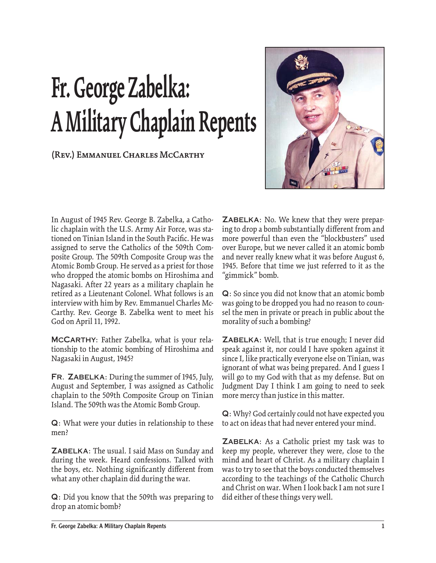## **Fr. George Zabelka: A Military Chaplain Repents**

**(Rev.) Emmanuel Charles McCarthy**



In August of 1945 Rev. George B. Zabelka, a Catholic chaplain with the U.S. Army Air Force, was stationed on Tinian Island in the South Pacific. He was assigned to serve the Catholics of the 509th Composite Group. The 509th Composite Group was the Atomic Bomb Group. He served as a priest for those who dropped the atomic bombs on Hiroshima and Nagasaki. After 22 years as a military chaplain he retired as a Lieutenant Colonel. What follows is an interview with him by Rev. Emmanuel Charles Mc-Carthy. Rev. George B. Zabelka went to meet his God on April 11, 1992.

MCCARTHY: Father Zabelka, what is your relationship to the atomic bombing of Hiroshima and Nagasaki in August, 1945?

FR. ZABELKA: During the summer of 1945, July, August and September, I was assigned as Catholic chaplain to the 509th Composite Group on Tinian Island. The 509th was the Atomic Bomb Group.

Q: What were your duties in relationship to these men?

**ZABELKA:** The usual. I said Mass on Sunday and during the week. Heard confessions. Talked with the boys, etc. Nothing significantly different from what any other chaplain did during the war.

Q: Did you know that the 509th was preparing to drop an atomic bomb?

**ZABELKA:** No. We knew that they were preparing to drop a bomb substantially different from and more powerful than even the "blockbusters" used over Europe, but we never called it an atomic bomb and never really knew what it was before August 6, 1945. Before that time we just referred to it as the "gimmick" bomb.

Q: So since you did not know that an atomic bomb was going to be dropped you had no reason to counsel the men in private or preach in public about the morality of such a bombing?

**ZABELKA:** Well, that is true enough; I never did speak against it, nor could I have spoken against it since I, like practically everyone else on Tinian, was ignorant of what was being prepared. And I guess I will go to my God with that as my defense. But on Judgment Day I think I am going to need to seek more mercy than justice in this matter.

Q: Why? God certainly could not have expected you to act on ideas that had never entered your mind.

ZABELKA: As a Catholic priest my task was to keep my people, wherever they were, close to the mind and heart of Christ. As a military chaplain I was to try to see that the boys conducted themselves according to the teachings of the Catholic Church and Christ on war. When I look back I am not sure I did either of these things very well.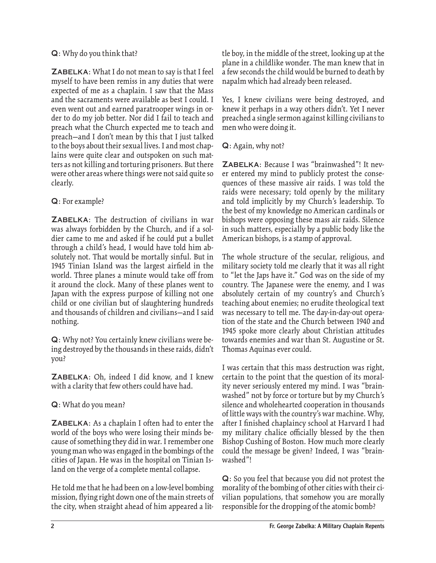## Q: Why do you think that?

**ZABELKA:** What I do not mean to say is that I feel myself to have been remiss in any duties that were expected of me as a chaplain. I saw that the Mass and the sacraments were available as best I could. I even went out and earned paratrooper wings in order to do my job better. Nor did I fail to teach and preach what the Church expected me to teach and preach—and I don't mean by this that I just talked to the boys about their sexual lives. I and most chaplains were quite clear and outspoken on such matters as not killing and torturing prisoners. But there were other areas where things were not said quite so clearly.

## Q: For example?

**ZABELKA:** The destruction of civilians in war was always forbidden by the Church, and if a soldier came to me and asked if he could put a bullet through a child's head, I would have told him absolutely not. That would be mortally sinful. But in 1945 Tinian Island was the largest airfield in the world. Three planes a minute would take off from it around the clock. Many of these planes went to Japan with the express purpose of killing not one child or one civilian but of slaughtering hundreds and thousands of children and civilians—and I said nothing.

Q: Why not? You certainly knew civilians were being destroyed by the thousands in these raids, didn't you?

**ZABELKA:** Oh, indeed I did know, and I knew with a clarity that few others could have had.

## Q: What do you mean?

**ZABELKA:** As a chaplain I often had to enter the world of the boys who were losing their minds because of something they did in war. I remember one young man who was engaged in the bombings of the cities of Japan. He was in the hospital on Tinian Island on the verge of a complete mental collapse.

He told me that he had been on a low-level bombing mission, flying right down one of the main streets of the city, when straight ahead of him appeared a little boy, in the middle of the street, looking up at the plane in a childlike wonder. The man knew that in a few seconds the child would be burned to death by napalm which had already been released.

Yes, I knew civilians were being destroyed, and knew it perhaps in a way others didn't. Yet I never preached a single sermon against killing civilians to men who were doing it.

Q: Again, why not?

ZABELKA: Because I was "brainwashed"! It never entered my mind to publicly protest the consequences of these massive air raids. I was told the raids were necessary; told openly by the military and told implicitly by my Church's leadership. To the best of my knowledge no American cardinals or bishops were opposing these mass air raids. Silence in such matters, especially by a public body like the American bishops, is a stamp of approval.

The whole structure of the secular, religious, and military society told me clearly that it was all right to "let the Japs have it." God was on the side of my country. The Japanese were the enemy, and I was absolutely certain of my country's and Church's teaching about enemies; no erudite theological text was necessary to tell me. The day-in-day-out operation of the state and the Church between 1940 and 1945 spoke more clearly about Christian attitudes towards enemies and war than St. Augustine or St. Thomas Aquinas ever could.

I was certain that this mass destruction was right, certain to the point that the question of its morality never seriously entered my mind. I was "brainwashed" not by force or torture but by my Church's silence and wholehearted cooperation in thousands of little ways with the country's war machine. Why, after I finished chaplaincy school at Harvard I had my military chalice officially blessed by the then Bishop Cushing of Boston. How much more clearly could the message be given? Indeed, I was "brainwashed"!

Q: So you feel that because you did not protest the morality of the bombing of other cities with their civilian populations, that somehow you are morally responsible for the dropping of the atomic bomb?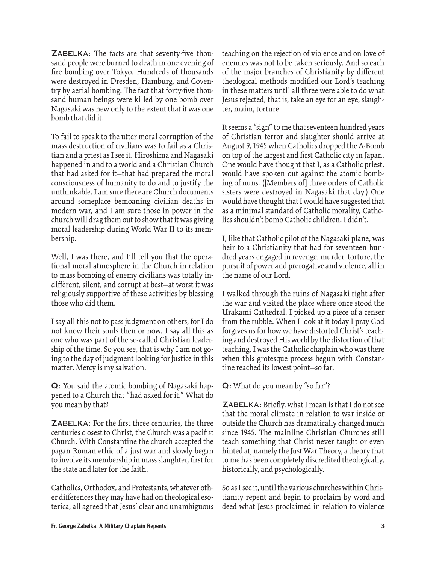**ZABELKA:** The facts are that seventy-five thousand people were burned to death in one evening of fire bombing over Tokyo. Hundreds of thousands were destroyed in Dresden, Hamburg, and Coventry by aerial bombing. The fact that forty-five thousand human beings were killed by one bomb over Nagasaki was new only to the extent that it was one bomb that did it.

To fail to speak to the utter moral corruption of the mass destruction of civilians was to fail as a Christian and a priest as I see it. Hiroshima and Nagasaki happened in and to a world and a Christian Church that had asked for it—that had prepared the moral consciousness of humanity to do and to justify the unthinkable. I am sure there are Church documents around someplace bemoaning civilian deaths in modern war, and I am sure those in power in the church will drag them out to show that it was giving moral leadership during World War II to its membership.

Well, I was there, and I'll tell you that the operational moral atmosphere in the Church in relation to mass bombing of enemy civilians was totally indifferent, silent, and corrupt at best-at worst it was religiously supportive of these activities by blessing those who did them.

I say all this not to pass judgment on others, for I do not know their souls then or now. I say all this as one who was part of the so-called Christian leadership of the time. So you see, that is why I am not going to the day of judgment looking for justice in this matter. Mercy is my salvation.

Q: You said the atomic bombing of Nagasaki happened to a Church that "had asked for it." What do you mean by that?

**ZABELKA:** For the first three centuries, the three centuries closest to Christ, the Church was a pacifist Church. With Constantine the church accepted the pagan Roman ethic of a just war and slowly began to involve its membership in mass slaughter, first for the state and later for the faith.

Catholics, Orthodox, and Protestants, whatever other differences they may have had on theological esoterica, all agreed that Jesus' clear and unambiguous

teaching on the rejection of violence and on love of enemies was not to be taken seriously. And so each of the major branches of Christianity by different theological methods modified our Lord's teaching in these matters until all three were able to do what Jesus rejected, that is, take an eye for an eye, slaughter, maim, torture.

It seems a "sign" to me that seventeen hundred years of Christian terror and slaughter should arrive at August 9, 1945 when Catholics dropped the A-Bomb on top of the largest and first Catholic city in Japan. One would have thought that I, as a Catholic priest, would have spoken out against the atomic bombing of nuns. ([Members of] three orders of Catholic sisters were destroyed in Nagasaki that day.) One would have thought that I would have suggested that as a minimal standard of Catholic morality, Catholics shouldn't bomb Catholic children. I didn't.

I, like that Catholic pilot of the Nagasaki plane, was heir to a Christianity that had for seventeen hundred years engaged in revenge, murder, torture, the pursuit of power and prerogative and violence, all in the name of our Lord.

I walked through the ruins of Nagasaki right after the war and visited the place where once stood the Urakami Cathedral. I picked up a piece of a censer from the rubble. When I look at it today I pray God forgives us for how we have distorted Christ's teaching and destroyed His world by the distortion of that teaching. I was the Catholic chaplain who was there when this grotesque process begun with Constantine reached its lowest point—so far.

Q: What do you mean by "so far"?

**ZABELKA:** Briefly, what I mean is that I do not see that the moral climate in relation to war inside or outside the Church has dramatically changed much since 1945. The mainline Christian Churches still teach something that Christ never taught or even hinted at, namely the Just War Theory, a theory that to me has been completely discredited theologically, historically, and psychologically.

So as I see it, until the various churches within Christianity repent and begin to proclaim by word and deed what Jesus proclaimed in relation to violence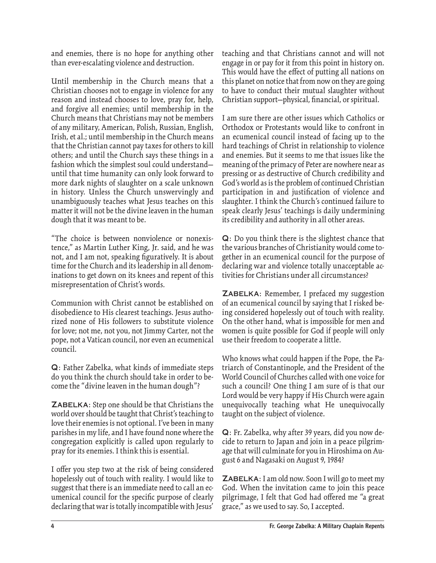and enemies, there is no hope for anything other than ever-escalating violence and destruction.

Until membership in the Church means that a Christian chooses not to engage in violence for any reason and instead chooses to love, pray for, help, and forgive all enemies; until membership in the Church means that Christians may not be members of any military, American, Polish, Russian, English, Irish, et al.; until membership in the Church means that the Christian cannot pay taxes for others to kill others; and until the Church says these things in a fashion which the simplest soul could understand until that time humanity can only look forward to more dark nights of slaughter on a scale unknown in history. Unless the Church unswervingly and unambiguously teaches what Jesus teaches on this matter it will not be the divine leaven in the human dough that it was meant to be.

"The choice is between nonviolence or nonexistence," as Martin Luther King, Jr. said, and he was not, and I am not, speaking figuratively. It is about time for the Church and its leadership in all denominations to get down on its knees and repent of this misrepresentation of Christ's words.

Communion with Christ cannot be established on disobedience to His clearest teachings. Jesus authorized none of His followers to substitute violence for love; not me, not you, not Jimmy Carter, not the pope, not a Vatican council, nor even an ecumenical council.

Q: Father Zabelka, what kinds of immediate steps do you think the church should take in order to become the "divine leaven in the human dough"?

**ZABELKA:** Step one should be that Christians the world over should be taught that Christ's teaching to love their enemies is not optional. I've been in many parishes in my life, and I have found none where the congregation explicitly is called upon regularly to pray for its enemies. I think this is essential.

I offer you step two at the risk of being considered hopelessly out of touch with reality. I would like to suggest that there is an immediate need to call an ecumenical council for the specific purpose of clearly declaring that war is totally incompatible with Jesus'

teaching and that Christians cannot and will not engage in or pay for it from this point in history on. This would have the effect of putting all nations on this planet on notice that from now on they are going to have to conduct their mutual slaughter without Christian support-physical, financial, or spiritual.

I am sure there are other issues which Catholics or Orthodox or Protestants would like to confront in an ecumenical council instead of facing up to the hard teachings of Christ in relationship to violence and enemies. But it seems to me that issues like the meaning of the primacy of Peter are nowhere near as pressing or as destructive of Church credibility and God's world as is the problem of continued Christian participation in and justification of violence and slaughter. I think the Church's continued failure to speak clearly Jesus' teachings is daily undermining its credibility and authority in all other areas.

Q: Do you think there is the slightest chance that the various branches of Christianity would come together in an ecumenical council for the purpose of declaring war and violence totally unacceptable activities for Christians under all circumstances?

**ZABELKA:** Remember, I prefaced my suggestion of an ecumenical council by saying that I risked being considered hopelessly out of touch with reality. On the other hand, what is impossible for men and women is quite possible for God if people will only use their freedom to cooperate a little.

Who knows what could happen if the Pope, the Patriarch of Constantinople, and the President of the World Council of Churches called with one voice for such a council? One thing I am sure of is that our Lord would be very happy if His Church were again unequivocally teaching what He unequivocally taught on the subject of violence.

Q: Fr. Zabelka, why after 39 years, did you now decide to return to Japan and join in a peace pilgrimage that will culminate for you in Hiroshima on August 6 and Nagasaki on August 9, 1984?

**ZABELKA:** I am old now. Soon I will go to meet my God. When the invitation came to join this peace pilgrimage, I felt that God had offered me "a great grace," as we used to say. So, I accepted.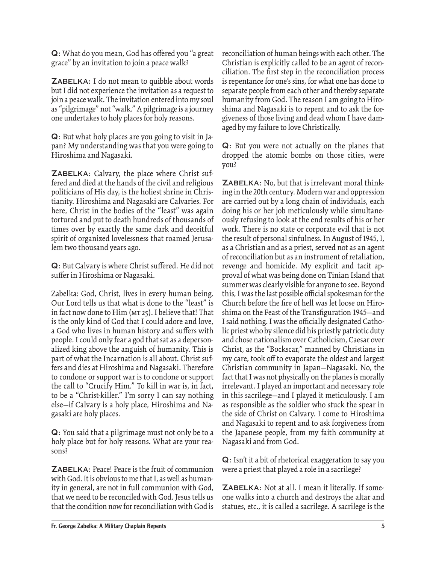**Q**: What do you mean, God has offered you "a great grace" by an invitation to join a peace walk?

**ZABELKA:** I do not mean to quibble about words but I did not experience the invitation as a request to join a peace walk. The invitation entered into my soul as "pilgrimage" not "walk." A pilgrimage is a journey one undertakes to holy places for holy reasons.

Q: But what holy places are you going to visit in Japan? My understanding was that you were going to Hiroshima and Nagasaki.

**ZABELKA:** Calvary, the place where Christ suffered and died at the hands of the civil and religious politicians of His day, is the holiest shrine in Christianity. Hiroshima and Nagasaki are Calvaries. For here, Christ in the bodies of the "least" was again tortured and put to death hundreds of thousands of times over by exactly the same dark and deceitful spirit of organized lovelessness that roamed Jerusalem two thousand years ago.

Q: But Calvary is where Christ suffered. He did not suffer in Hiroshima or Nagasaki.

Zabelka: God, Christ, lives in every human being. Our Lord tells us that what is done to the "least" is in fact now done to  $\lim_{M \to \infty}$ . I believe that! That is the only kind of God that I could adore and love, a God who lives in human history and suffers with people. I could only fear a god that sat as a depersonalized king above the anguish of humanity. This is part of what the Incarnation is all about. Christ suffers and dies at Hiroshima and Nagasaki. Therefore to condone or support war is to condone or support the call to "Crucify Him." To kill in war is, in fact, to be a "Christ-killer." I'm sorry I can say nothing else—if Calvary is a holy place, Hiroshima and Nagasaki are holy places.

Q: You said that a pilgrimage must not only be to a holy place but for holy reasons. What are your reasons?

**ZABELKA: Peace! Peace is the fruit of communion** with God. It is obvious to me that I, as well as humanity in general, are not in full communion with God, that we need to be reconciled with God. Jesus tells us that the condition now for reconciliation with God is

reconciliation of human beings with each other. The Christian is explicitly called to be an agent of reconciliation. The first step in the reconciliation process is repentance for one's sins, for what one has done to separate people from each other and thereby separate humanity from God. The reason I am going to Hiroshima and Nagasaki is to repent and to ask the forgiveness of those living and dead whom I have damaged by my failure to love Christically.

Q: But you were not actually on the planes that dropped the atomic bombs on those cities, were you?

**ZABELKA:** No, but that is irrelevant moral thinking in the 20th century. Modern war and oppression are carried out by a long chain of individuals, each doing his or her job meticulously while simultaneously refusing to look at the end results of his or her work. There is no state or corporate evil that is not the result of personal sinfulness. In August of 1945, I, as a Christian and as a priest, served not as an agent of reconciliation but as an instrument of retaliation, revenge and homicide. My explicit and tacit approval of what was being done on Tinian Island that summer was clearly visible for anyone to see. Beyond this, I was the last possible official spokesman for the Church before the fire of hell was let loose on Hiroshima on the Feast of the Transfiguration 1945—and I said nothing. I was the officially designated Catholic priest who by silence did his priestly patriotic duty and chose nationalism over Catholicism, Caesar over Christ, as the "Bockscar," manned by Christians in my care, took off to evaporate the oldest and largest Christian community in Japan—Nagasaki. No, the fact that I was not physically on the planes is morally irrelevant. I played an important and necessary role in this sacrilege—and I played it meticulously. I am as responsible as the soldier who stuck the spear in the side of Christ on Calvary. I come to Hiroshima and Nagasaki to repent and to ask forgiveness from the Japanese people, from my faith community at Nagasaki and from God.

Q: Isn't it a bit of rhetorical exaggeration to say you were a priest that played a role in a sacrilege?

**ZABELKA:** Not at all. I mean it literally. If someone walks into a church and destroys the altar and statues, etc., it is called a sacrilege. A sacrilege is the